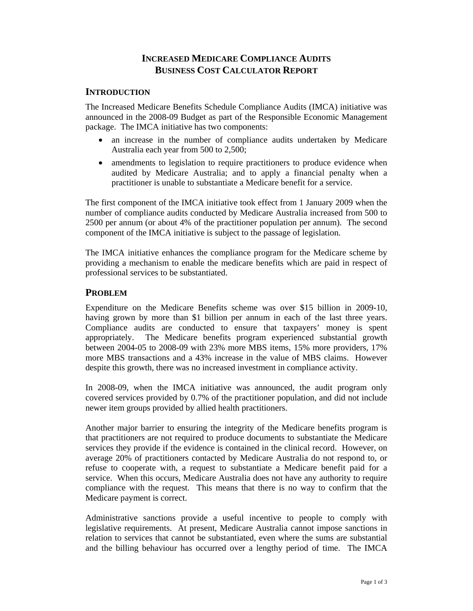# **INCREASED MEDICARE COMPLIANCE AUDITS BUSINESS COST CALCULATOR REPORT**

#### **INTRODUCTION**

The Increased Medicare Benefits Schedule Compliance Audits (IMCA) initiative was announced in the 2008-09 Budget as part of the Responsible Economic Management package. The IMCA initiative has two components:

- an increase in the number of compliance audits undertaken by Medicare Australia each year from 500 to 2,500;
- amendments to legislation to require practitioners to produce evidence when audited by Medicare Australia; and to apply a financial penalty when a practitioner is unable to substantiate a Medicare benefit for a service.

The first component of the IMCA initiative took effect from 1 January 2009 when the number of compliance audits conducted by Medicare Australia increased from 500 to 2500 per annum (or about 4% of the practitioner population per annum). The second component of the IMCA initiative is subject to the passage of legislation.

The IMCA initiative enhances the compliance program for the Medicare scheme by providing a mechanism to enable the medicare benefits which are paid in respect of professional services to be substantiated.

### **PROBLEM**

Expenditure on the Medicare Benefits scheme was over \$15 billion in 2009-10, having grown by more than \$1 billion per annum in each of the last three years. Compliance audits are conducted to ensure that taxpayers' money is spent appropriately. The Medicare benefits program experienced substantial growth between 2004-05 to 2008-09 with 23% more MBS items, 15% more providers, 17% more MBS transactions and a 43% increase in the value of MBS claims. However despite this growth, there was no increased investment in compliance activity.

In 2008-09, when the IMCA initiative was announced, the audit program only covered services provided by 0.7% of the practitioner population, and did not include newer item groups provided by allied health practitioners.

Another major barrier to ensuring the integrity of the Medicare benefits program is that practitioners are not required to produce documents to substantiate the Medicare services they provide if the evidence is contained in the clinical record. However, on average 20% of practitioners contacted by Medicare Australia do not respond to, or refuse to cooperate with, a request to substantiate a Medicare benefit paid for a service. When this occurs, Medicare Australia does not have any authority to require compliance with the request. This means that there is no way to confirm that the Medicare payment is correct.

Administrative sanctions provide a useful incentive to people to comply with legislative requirements. At present, Medicare Australia cannot impose sanctions in relation to services that cannot be substantiated, even where the sums are substantial and the billing behaviour has occurred over a lengthy period of time. The IMCA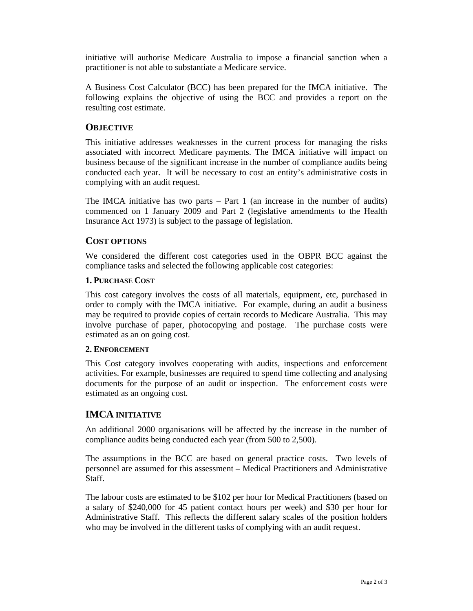initiative will authorise Medicare Australia to impose a financial sanction when a practitioner is not able to substantiate a Medicare service.

A Business Cost Calculator (BCC) has been prepared for the IMCA initiative. The following explains the objective of using the BCC and provides a report on the resulting cost estimate.

## **OBJECTIVE**

This initiative addresses weaknesses in the current process for managing the risks associated with incorrect Medicare payments. The IMCA initiative will impact on business because of the significant increase in the number of compliance audits being conducted each year. It will be necessary to cost an entity's administrative costs in complying with an audit request.

The IMCA initiative has two parts  $-$  Part 1 (an increase in the number of audits) commenced on 1 January 2009 and Part 2 (legislative amendments to the Health Insurance Act 1973) is subject to the passage of legislation.

## **COST OPTIONS**

We considered the different cost categories used in the OBPR BCC against the compliance tasks and selected the following applicable cost categories:

### **1. PURCHASE COST**

This cost category involves the costs of all materials, equipment, etc, purchased in order to comply with the IMCA initiative. For example, during an audit a business may be required to provide copies of certain records to Medicare Australia. This may involve purchase of paper, photocopying and postage. The purchase costs were estimated as an on going cost.

#### **2. ENFORCEMENT**

This Cost category involves cooperating with audits, inspections and enforcement activities. For example, businesses are required to spend time collecting and analysing documents for the purpose of an audit or inspection. The enforcement costs were estimated as an ongoing cost.

## **IMCA INITIATIVE**

An additional 2000 organisations will be affected by the increase in the number of compliance audits being conducted each year (from 500 to 2,500).

The assumptions in the BCC are based on general practice costs. Two levels of personnel are assumed for this assessment – Medical Practitioners and Administrative Staff.

The labour costs are estimated to be \$102 per hour for Medical Practitioners (based on a salary of \$240,000 for 45 patient contact hours per week) and \$30 per hour for Administrative Staff. This reflects the different salary scales of the position holders who may be involved in the different tasks of complying with an audit request.